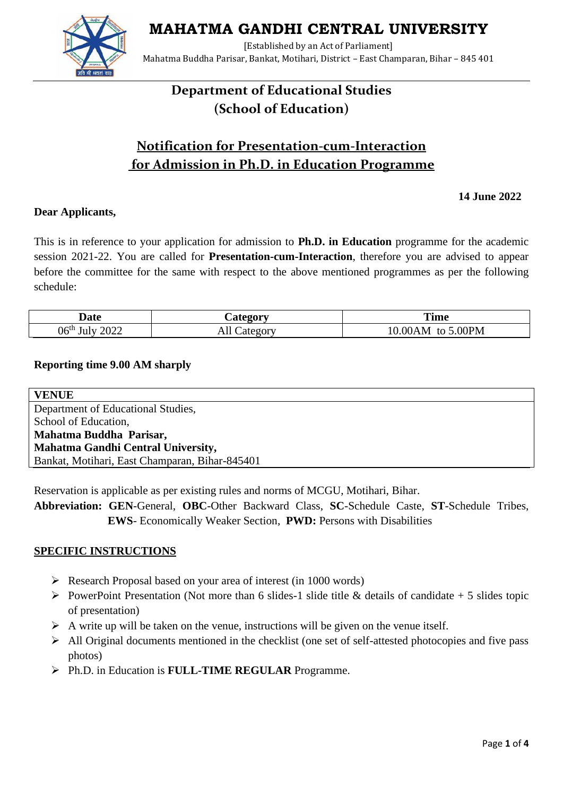**MAHATMA GANDHI CENTRAL UNIVERSITY**



[Established by an Act of Parliament] Mahatma Buddha Parisar, Bankat, Motihari, District – East Champaran, Bihar – 845 401

# **Department of Educational Studies (School of Education)**

# **Notification for Presentation-cum-Interaction for Admission in Ph.D. in Education Programme**

 **14 June 2022**

### **Dear Applicants,**

This is in reference to your application for admission to **Ph.D. in Education** programme for the academic session 2021-22. You are called for **Presentation-cum-Interaction**, therefore you are advised to appear before the committee for the same with respect to the above mentioned programmes as per the following schedule:

| Jate                             | $\sim$ $\sim$ $\sim$ $\sim$ $\sim$ $\sim$<br>$\sim$ | <b>Time</b>        |
|----------------------------------|-----------------------------------------------------|--------------------|
| 2022<br>06 <sup>th</sup><br>July | 71 L<br>vı                                          | 00PM<br>ΩО,<br>'AM |

#### **Reporting time 9.00 AM sharply**

| <b>VENUE</b>                                   |  |  |
|------------------------------------------------|--|--|
| Department of Educational Studies,             |  |  |
| School of Education,                           |  |  |
| Mahatma Buddha Parisar,                        |  |  |
| Mahatma Gandhi Central University,             |  |  |
| Bankat, Motihari, East Champaran, Bihar-845401 |  |  |

Reservation is applicable as per existing rules and norms of MCGU, Motihari, Bihar.

**Abbreviation: GEN**-General, **OBC**-Other Backward Class, **SC**-Schedule Caste, **ST**-Schedule Tribes, **EWS**- Economically Weaker Section, **PWD:** Persons with Disabilities

#### **SPECIFIC INSTRUCTIONS**

- ➢ Research Proposal based on your area of interest (in 1000 words)
- $\triangleright$  PowerPoint Presentation (Not more than 6 slides-1 slide title & details of candidate + 5 slides topic of presentation)
- $\triangleright$  A write up will be taken on the venue, instructions will be given on the venue itself.
- ➢ All Original documents mentioned in the checklist (one set of self-attested photocopies and five pass photos)
- ➢ Ph.D. in Education is **FULL-TIME REGULAR** Programme.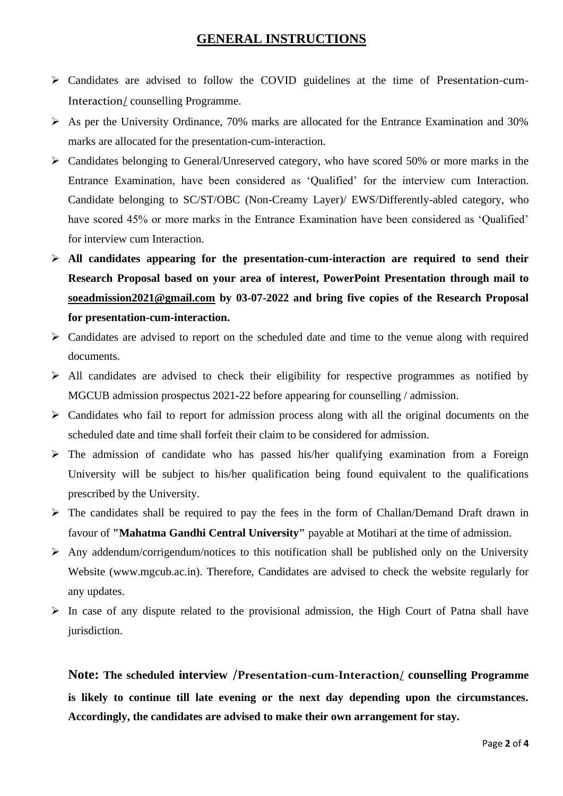### **GENERAL INSTRUCTIONS**

- ➢ Candidates are advised to follow the COVID guidelines at the time of Presentation-cum-Interaction/ counselling Programme.
- $\triangleright$  As per the University Ordinance, 70% marks are allocated for the Entrance Examination and 30% marks are allocated for the presentation-cum-interaction.
- ➢ Candidates belonging to General/Unreserved category, who have scored 50% or more marks in the Entrance Examination, have been considered as 'Qualified' for the interview cum Interaction. Candidate belonging to SC/ST/OBC (Non-Creamy Layer)/ EWS/Differently-abled category, who have scored 45% or more marks in the Entrance Examination have been considered as 'Qualified' for interview cum Interaction.
- ➢ **All candidates appearing for the presentation-cum-interaction are required to send their Research Proposal based on your area of interest, PowerPoint Presentation through mail to [soeadmission2021@gmail.com](mailto:soeadmission2021@gmail.com) by 03-07-2022 and bring five copies of the Research Proposal for presentation-cum-interaction.**
- ➢ Candidates are advised to report on the scheduled date and time to the venue along with required documents.
- $\triangleright$  All candidates are advised to check their eligibility for respective programmes as notified by MGCUB admission prospectus 2021-22 before appearing for counselling / admission.
- ➢ Candidates who fail to report for admission process along with all the original documents on the scheduled date and time shall forfeit their claim to be considered for admission.
- $\triangleright$  The admission of candidate who has passed his/her qualifying examination from a Foreign University will be subject to his/her qualification being found equivalent to the qualifications prescribed by the University.
- ➢ The candidates shall be required to pay the fees in the form of Challan/Demand Draft drawn in favour of **"Mahatma Gandhi Central University"** payable at Motihari at the time of admission.
- $\triangleright$  Any addendum/corrigendum/notices to this notification shall be published only on the University Website (www.mgcub.ac.in). Therefore, Candidates are advised to check the website regularly for any updates.
- $\triangleright$  In case of any dispute related to the provisional admission, the High Court of Patna shall have jurisdiction.

**Note: The scheduled interview /Presentation-cum-Interaction/ counselling Programme is likely to continue till late evening or the next day depending upon the circumstances. Accordingly, the candidates are advised to make their own arrangement for stay.**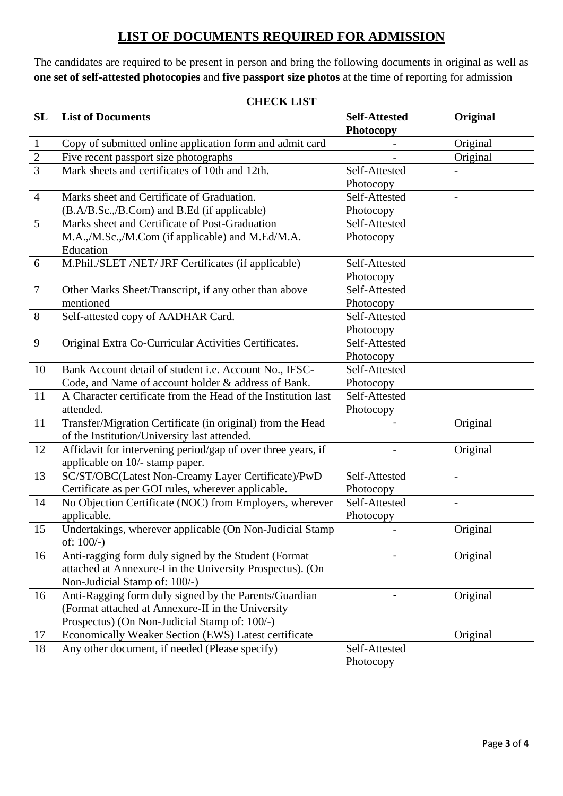## **LIST OF DOCUMENTS REQUIRED FOR ADMISSION**

The candidates are required to be present in person and bring the following documents in original as well as **one set of self-attested photocopies** and **five passport size photos** at the time of reporting for admission

| <b>SL</b>      | <b>List of Documents</b>                                      | <b>Self-Attested</b> | Original                 |
|----------------|---------------------------------------------------------------|----------------------|--------------------------|
|                |                                                               | Photocopy            |                          |
| $\mathbf{1}$   | Copy of submitted online application form and admit card      |                      | Original                 |
| $\overline{2}$ | Five recent passport size photographs                         |                      | Original                 |
| $\overline{3}$ | Mark sheets and certificates of 10th and 12th.                | Self-Attested        |                          |
|                |                                                               | Photocopy            |                          |
| $\overline{4}$ | Marks sheet and Certificate of Graduation.                    | Self-Attested        |                          |
|                | (B.A/B.Sc.,/B.Com) and B.Ed (if applicable)                   | Photocopy            |                          |
| 5              | Marks sheet and Certificate of Post-Graduation                | Self-Attested        |                          |
|                | M.A.,/M.Sc.,/M.Com (if applicable) and M.Ed/M.A.              | Photocopy            |                          |
|                | Education                                                     |                      |                          |
| 6              | M.Phil./SLET /NET/ JRF Certificates (if applicable)           | Self-Attested        |                          |
|                |                                                               | Photocopy            |                          |
| $\overline{7}$ | Other Marks Sheet/Transcript, if any other than above         | Self-Attested        |                          |
|                | mentioned                                                     | Photocopy            |                          |
| 8              | Self-attested copy of AADHAR Card.                            | Self-Attested        |                          |
|                |                                                               | Photocopy            |                          |
| 9              | Original Extra Co-Curricular Activities Certificates.         | Self-Attested        |                          |
|                |                                                               | Photocopy            |                          |
| 10             | Bank Account detail of student i.e. Account No., IFSC-        | Self-Attested        |                          |
|                | Code, and Name of account holder & address of Bank.           | Photocopy            |                          |
| 11             | A Character certificate from the Head of the Institution last | Self-Attested        |                          |
|                | attended.                                                     | Photocopy            |                          |
| 11             | Transfer/Migration Certificate (in original) from the Head    |                      | Original                 |
|                | of the Institution/University last attended.                  |                      |                          |
| 12             | Affidavit for intervening period/gap of over three years, if  |                      | Original                 |
|                | applicable on 10/- stamp paper.                               |                      |                          |
| 13             | SC/ST/OBC(Latest Non-Creamy Layer Certificate)/PwD            | Self-Attested        | $\overline{\phantom{0}}$ |
|                | Certificate as per GOI rules, wherever applicable.            | Photocopy            |                          |
| 14             | No Objection Certificate (NOC) from Employers, wherever       | Self-Attested        |                          |
|                | applicable.                                                   | Photocopy            |                          |
| 15             | Undertakings, wherever applicable (On Non-Judicial Stamp      |                      | Original                 |
|                | of: $100/-$ )                                                 |                      |                          |
| 16             | Anti-ragging form duly signed by the Student (Format          |                      | Original                 |
|                | attached at Annexure-I in the University Prospectus). (On     |                      |                          |
|                | Non-Judicial Stamp of: 100/-)                                 |                      |                          |
| 16             | Anti-Ragging form duly signed by the Parents/Guardian         |                      | Original                 |
|                | (Format attached at Annexure-II in the University             |                      |                          |
|                | Prospectus) (On Non-Judicial Stamp of: 100/-)                 |                      |                          |
| 17             | Economically Weaker Section (EWS) Latest certificate          |                      | Original                 |
| 18             | Any other document, if needed (Please specify)                | Self-Attested        |                          |
|                |                                                               | Photocopy            |                          |

#### **CHECK LIST**